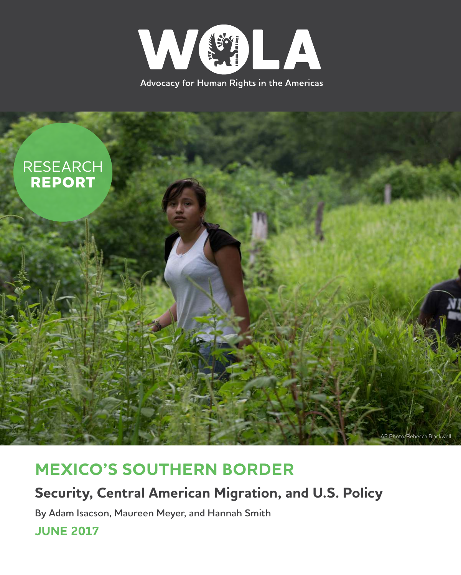



## **MEXICO'S SOUTHERN BORDER**

## **Security, Central American Migration, and U.S. Policy**

**By Adam Isacson, Maureen Meyer, and Hannah Smith**

**JUNE 2017**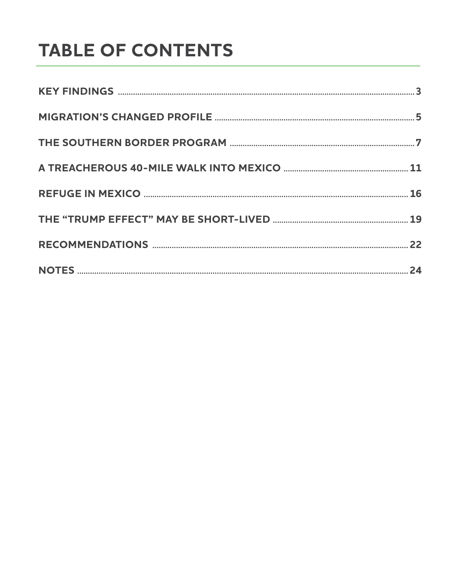# **TABLE OF CONTENTS**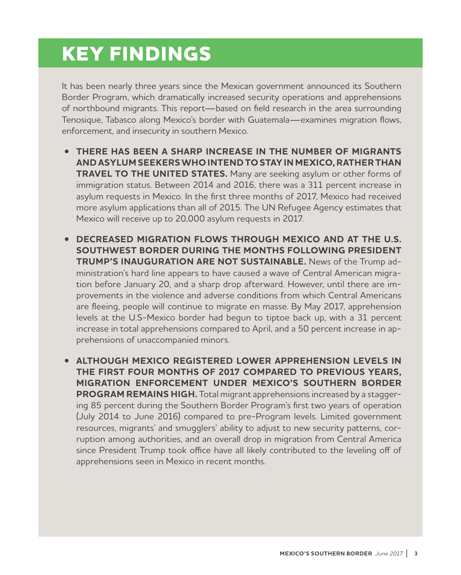# **KEY FINDINGS**

It has been nearly three years since the Mexican government announced its Southern Border Program, which dramatically increased security operations and apprehensions of northbound migrants. This report—based on field research in the area surrounding Tenosique, Tabasco along Mexico's border with Guatemala—examines migration flows, enforcement, and insecurity in southern Mexico.

- **THERE HAS BEEN A SHARP INCREASE IN THE NUMBER OF MIGRANTS AND ASYLUM SEEKERS WHO INTEND TO STAY IN MEXICO, RATHER THAN TRAVEL TO THE UNITED STATES.** Many are seeking asylum or other forms of immigration status. Between 2014 and 2016, there was a 311 percent increase in asylum requests in Mexico. In the first three months of 2017, Mexico had received more asylum applications than all of 2015. The UN Refugee Agency estimates that Mexico will receive up to 20,000 asylum requests in 2017.
- **DECREASED MIGRATION FLOWS THROUGH MEXICO AND AT THE U.S. SOUTHWEST BORDER DURING THE MONTHS FOLLOWING PRESIDENT TRUMP'S INAUGURATION ARE NOT SUSTAINABLE.** News of the Trump administration's hard line appears to have caused a wave of Central American migration before January 20, and a sharp drop afterward. However, until there are improvements in the violence and adverse conditions from which Central Americans are fleeing, people will continue to migrate en masse. By May 2017, apprehension levels at the U.S-Mexico border had begun to tiptoe back up, with a 31 percent increase in total apprehensions compared to April, and a 50 percent increase in apprehensions of unaccompanied minors.
- **ALTHOUGH MEXICO REGISTERED LOWER APPREHENSION LEVELS IN THE FIRST FOUR MONTHS OF 2017 COMPARED TO PREVIOUS YEARS, MIGRATION ENFORCEMENT UNDER MEXICO'S SOUTHERN BORDER PROGRAM REMAINS HIGH.** Total migrant apprehensions increased by a staggering 85 percent during the Southern Border Program's first two years of operation (July 2014 to June 2016) compared to pre-Program levels. Limited government resources, migrants' and smugglers' ability to adjust to new security patterns, corruption among authorities, and an overall drop in migration from Central America since President Trump took office have all likely contributed to the leveling off of apprehensions seen in Mexico in recent months.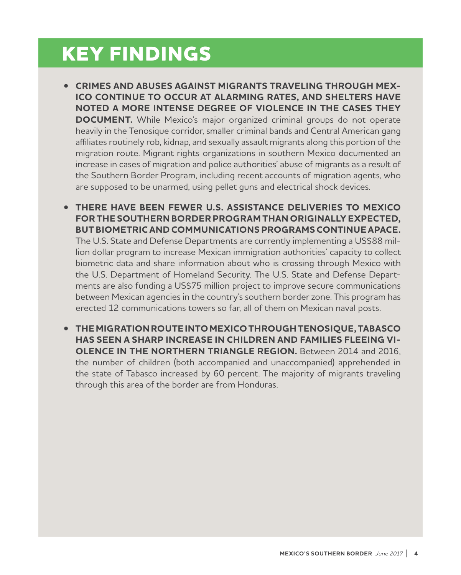# **KEY FINDINGS**

- **CRIMES AND ABUSES AGAINST MIGRANTS TRAVELING THROUGH MEX-ICO CONTINUE TO OCCUR AT ALARMING RATES, AND SHELTERS HAVE NOTED A MORE INTENSE DEGREE OF VIOLENCE IN THE CASES THEY DOCUMENT.** While Mexico's major organized criminal groups do not operate heavily in the Tenosique corridor, smaller criminal bands and Central American gang affiliates routinely rob, kidnap, and sexually assault migrants along this portion of the migration route. Migrant rights organizations in southern Mexico documented an increase in cases of migration and police authorities' abuse of migrants as a result of the Southern Border Program, including recent accounts of migration agents, who are supposed to be unarmed, using pellet guns and electrical shock devices.
- **THERE HAVE BEEN FEWER U.S. ASSISTANCE DELIVERIES TO MEXICO FOR THE SOUTHERN BORDER PROGRAM THAN ORIGINALLY EXPECTED, BUT BIOMETRIC AND COMMUNICATIONS PROGRAMS CONTINUE APACE.** The U.S. State and Defense Departments are currently implementing a US\$88 million dollar program to increase Mexican immigration authorities' capacity to collect biometric data and share information about who is crossing through Mexico with the U.S. Department of Homeland Security. The U.S. State and Defense Departments are also funding a US\$75 million project to improve secure communications between Mexican agencies in the country's southern border zone. This program has erected 12 communications towers so far, all of them on Mexican naval posts.
- **THE MIGRATION ROUTE INTO MEXICO THROUGH TENOSIQUE, TABASCO HAS SEEN A SHARP INCREASE IN CHILDREN AND FAMILIES FLEEING VI-OLENCE IN THE NORTHERN TRIANGLE REGION.** Between 2014 and 2016, the number of children (both accompanied and unaccompanied) apprehended in the state of Tabasco increased by 60 percent. The majority of migrants traveling through this area of the border are from Honduras.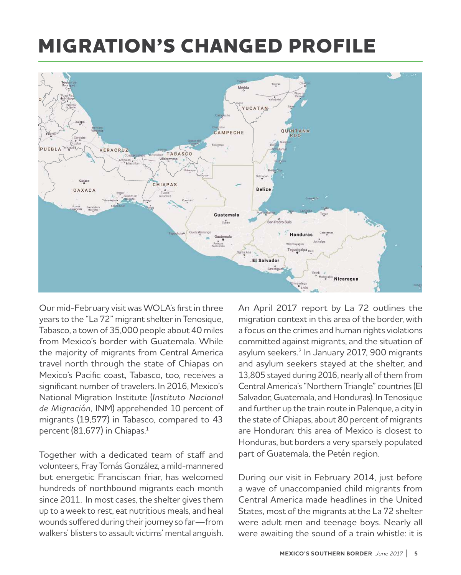# **MIGRATION'S CHANGED PROFILE**



Our mid-February visit was WOLA's first in three years to the "La 72" migrant shelter in Tenosique, Tabasco, a town of 35,000 people about 40 miles from Mexico's border with Guatemala. While the majority of migrants from Central America travel north through the state of Chiapas on Mexico's Pacific coast, Tabasco, too, receives a significant number of travelers. In 2016, Mexico's National Migration Institute (*Instituto Nacional de Migración,* INM) apprehended 10 percent of migrants (19,577) in Tabasco, compared to 43 percent (81,677) in Chiapas. $1$ 

Together with a dedicated team of staff and volunteers, Fray Tomás González, a mild-mannered but energetic Franciscan friar, has welcomed hundreds of northbound migrants each month since 2011. In most cases, the shelter gives them up to a week to rest, eat nutritious meals, and heal wounds suffered during their journey so far—from walkers' blisters to assault victims' mental anguish. An April 2017 report by La 72 outlines the migration context in this area of the border, with a focus on the crimes and human rights violations committed against migrants, and the situation of asylum seekers.<sup>2</sup> In January 2017, 900 migrants and asylum seekers stayed at the shelter, and 13,805 stayed during 2016, nearly all of them from Central America's "Northern Triangle" countries (El Salvador, Guatemala, and Honduras). In Tenosique and further up the train route in Palenque, a city in the state of Chiapas, about 80 percent of migrants are Honduran: this area of Mexico is closest to Honduras, but borders a very sparsely populated part of Guatemala, the Petén region.

During our visit in February 2014, just before a wave of unaccompanied child migrants from Central America made headlines in the United States, most of the migrants at the La 72 shelter were adult men and teenage boys. Nearly all were awaiting the sound of a train whistle: it is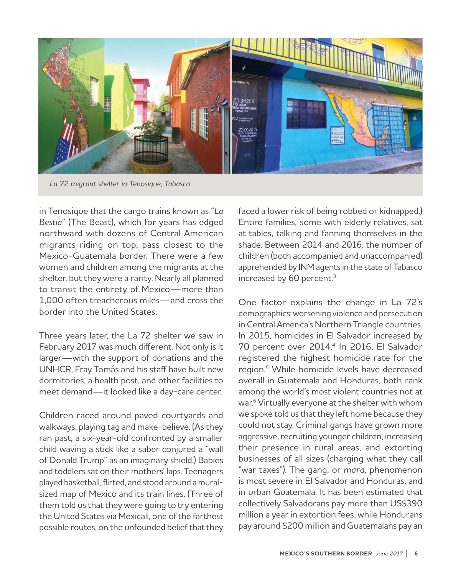

*La 72 migrant shelter in Tenosique, Tabasco*

in Tenosique that the cargo trains known as "*La Bestia*" (The Beast), which for years has edged northward with dozens of Central American migrants riding on top, pass closest to the Mexico-Guatemala border. There were a few women and children among the migrants at the shelter, but they were a rarity. Nearly all planned to transit the entirety of Mexico—more than 1,000 often treacherous miles—and cross the border into the United States.

Three years later, the La 72 shelter we saw in February 2017 was much different. Not only is it larger—with the support of donations and the UNHCR, Fray Tomás and his staff have built new dormitories, a health post, and other facilities to meet demand—it looked like a day-care center.

Children raced around paved courtyards and walkways, playing tag and make-believe. (As they ran past, a six-year-old confronted by a smaller child waving a stick like a saber conjured a "wall of Donald Trump" as an imaginary shield.) Babies and toddlers sat on their mothers' laps. Teenagers played basketball, flirted, and stood around a muralsized map of Mexico and its train lines. (Three of them told us that they were going to try entering the United States via Mexicali, one of the farthest possible routes, on the unfounded belief that they

faced a lower risk of being robbed or kidnapped.) Entire families, some with elderly relatives, sat at tables, talking and fanning themselves in the shade. Between 2014 and 2016, the number of children (both accompanied and unaccompanied) apprehended by INM agents in the state of Tabasco increased by 60 percent.<sup>3</sup>

One factor explains the change in La 72's demographics: worsening violence and persecution in Central America's Northern Triangle countries. In 2015, homicides in El Salvador increased by 70 percent over 2014.<sup>4</sup> In 2016, El Salvador registered the highest homicide rate for the region.<sup>5</sup> While homicide levels have decreased overall in Guatemala and Honduras, both rank among the world's most violent countries not at war.<sup>6</sup> Virtually everyone at the shelter with whom we spoke told us that they left home because they could not stay. Criminal gangs have grown more aggressive, recruiting younger children, increasing their presence in rural areas, and extorting businesses of all sizes (charging what they call "war taxes"). The gang, or *mara*, phenomenon is most severe in El Salvador and Honduras, and in urban Guatemala. It has been estimated that collectively Salvadorans pay more than US\$390 million a year in extortion fees, while Hondurans pay around \$200 million and Guatemalans pay an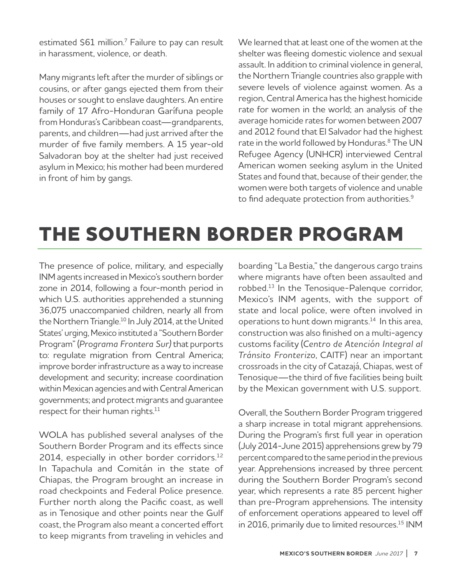estimated \$61 million.<sup>7</sup> Failure to pay can result in harassment, violence, or death.

Many migrants left after the murder of siblings or cousins, or after gangs ejected them from their houses or sought to enslave daughters. An entire family of 17 Afro-Honduran Garífuna people from Honduras's Caribbean coast—grandparents, parents, and children—had just arrived after the murder of five family members. A 15 year-old Salvadoran boy at the shelter had just received asylum in Mexico; his mother had been murdered in front of him by gangs.

We learned that at least one of the women at the shelter was fleeing domestic violence and sexual assault. In addition to criminal violence in general, the Northern Triangle countries also grapple with severe levels of violence against women. As a region, Central America has the highest homicide rate for women in the world; an analysis of the average homicide rates for women between 2007 and 2012 found that El Salvador had the highest rate in the world followed by Honduras.<sup>8</sup> The UN Refugee Agency (UNHCR) interviewed Central American women seeking asylum in the United States and found that, because of their gender, the women were both targets of violence and unable to find adequate protection from authorities.<sup>9</sup>

# **THE SOUTHERN BORDER PROGRAM**

The presence of police, military, and especially INM agents increased in Mexico's southern border zone in 2014, following a four-month period in which U.S. authorities apprehended a stunning 36,075 unaccompanied children, nearly all from the Northern Triangle.<sup>10</sup> In July 2014, at the United States' urging, Mexico instituted a "Southern Border Program" (*Programa Frontera Sur)* that purports to: regulate migration from Central America; improve border infrastructure as a way to increase development and security; increase coordination within Mexican agencies and with Central American governments; and protect migrants and guarantee respect for their human rights.<sup>11</sup>

WOLA has published several analyses of the Southern Border Program and its effects since 2014, especially in other border corridors.<sup>12</sup> In Tapachula and Comitán in the state of Chiapas, the Program brought an increase in road checkpoints and Federal Police presence. Further north along the Pacific coast, as well as in Tenosique and other points near the Gulf coast, the Program also meant a concerted effort to keep migrants from traveling in vehicles and

boarding "La Bestia," the dangerous cargo trains where migrants have often been assaulted and robbed.13 In the Tenosique-Palenque corridor, Mexico's INM agents, with the support of state and local police, were often involved in operations to hunt down migrants.<sup>14</sup> In this area, construction was also finished on a multi-agency customs facility (*Centro de Atención Integral al Tránsito Fronterizo*, CAITF) near an important crossroads in the city of Catazajá, Chiapas, west of Tenosique—the third of five facilities being built by the Mexican government with U.S. support.

Overall, the Southern Border Program triggered a sharp increase in total migrant apprehensions. During the Program's first full year in operation (July 2014-June 2015) apprehensions grew by 79 percent compared to the same period in the previous year. Apprehensions increased by three percent during the Southern Border Program's second year, which represents a rate 85 percent higher than pre-Program apprehensions. The intensity of enforcement operations appeared to level off in 2016, primarily due to limited resources.<sup>15</sup> INM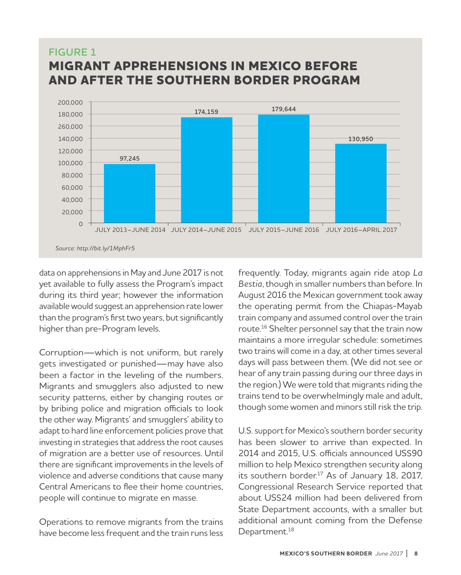## **FIGURE 1 MIGRANT APPREHENSIONS IN MEXICO BEFORE AND AFTER THE SOUTHERN BORDER PROGRAM**



data on apprehensions in May and June 2017 is not yet available to fully assess the Program's impact during its third year; however the information available would suggest an apprehension rate lower than the program's first two years, but significantly higher than pre-Program levels.

Corruption—which is not uniform, but rarely gets investigated or punished—may have also been a factor in the leveling of the numbers. Migrants and smugglers also adjusted to new security patterns, either by changing routes or by bribing police and migration officials to look the other way. Migrants' and smugglers' ability to adapt to hard line enforcement policies prove that investing in strategies that address the root causes of migration are a better use of resources. Until there are significant improvements in the levels of violence and adverse conditions that cause many Central Americans to flee their home countries, people will continue to migrate en masse.

Operations to remove migrants from the trains have become less frequent and the train runs less

frequently. Today, migrants again ride atop *La Bestia*, though in smaller numbers than before. In August 2016 the [Mexican government](http://www.animalpolitico.com/2016/08/gobierno-mexico-quita-concesion-empresa-controlaba-ferrocarril-la-bestia/) took away the operating permit from the Chiapas-Mayab train company and assumed control over the train route.<sup>16</sup> Shelter personnel say that the train now maintains a more irregular schedule: sometimes two trains will come in a day, at other times several days will pass between them. (We did not see or hear of any train passing during our three days in the region.) We were told that migrants riding the trains tend to be overwhelmingly male and adult, though some women and minors still risk the trip.

U.S. support for Mexico's southern border security has been slower to arrive than expected. In 2014 and 2015, U.S. officials announced US\$90 million to help Mexico strengthen security along its southern border.<sup>17</sup> As of January 18, 2017, Congressional Research Service reported that about US\$24 million had been delivered from State Department accounts, with a smaller but additional amount coming from the Defense Department.<sup>18</sup>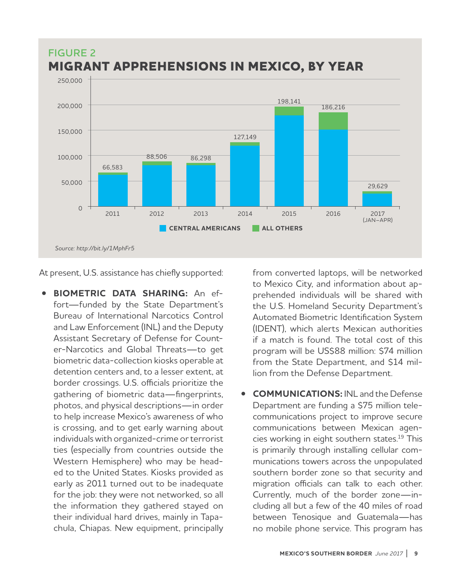

At present, U.S. assistance has chiefly supported:

• **BIOMETRIC DATA SHARING:** An effort—funded by the State Department's Bureau of International Narcotics Control and Law Enforcement (INL) and the Deputy Assistant Secretary of Defense for Counter-Narcotics and Global Threats—to get biometric data-collection kiosks operable at detention centers and, to a lesser extent, at border crossings. U.S. officials prioritize the gathering of biometric data—fingerprints, photos, and physical descriptions—in order to help increase Mexico's awareness of who is crossing, and to get early warning about individuals with organized-crime or terrorist ties (especially from countries outside the Western Hemisphere) who may be headed to the United States. Kiosks provided as early as 2011 turned out to be inadequate for the job: they were not networked, so all the information they gathered stayed on their individual hard drives, mainly in Tapachula, Chiapas. New equipment, principally from converted laptops, will be networked to Mexico City, and information about apprehended individuals will be shared with the U.S. Homeland Security Department's Automated Biometric Identification System (IDENT), which alerts Mexican authorities if a match is found. The total cost of this program will be US\$88 million: \$74 million from the State Department, and \$14 million from the Defense Department.

• **COMMUNICATIONS:** INL and the Defense Department are funding a \$75 million telecommunications project to improve secure communications between Mexican agencies working in eight southern states.19 This is primarily through installing cellular communications towers across the unpopulated southern border zone so that security and migration officials can talk to each other. Currently, much of the border zone—including all but a few of the 40 miles of road between Tenosique and Guatemala—has no mobile phone service. This program has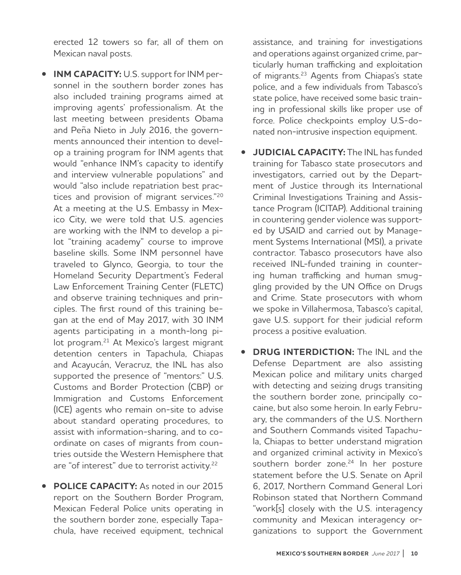erected 12 towers so far, all of them on Mexican naval posts.

- **INM CAPACITY:** U.S. support for INM personnel in the southern border zones has also included training programs aimed at improving agents' professionalism. At the last meeting between presidents [Obama](https://obamawhitehouse.archives.gov/the-press-office/2016/07/22/fact-sheet-united-states-mexico-relations) [and Peña Nieto](https://obamawhitehouse.archives.gov/the-press-office/2016/07/22/fact-sheet-united-states-mexico-relations) in July 2016, the governments announced their intention to develop a training program for INM agents that would "enhance INM's capacity to identify and interview vulnerable populations" and would "also include repatriation best practices and provision of migrant services."<sup>20</sup> At a meeting at the U.S. Embassy in Mexico City, we were told that U.S. agencies are working with the INM to develop a pilot "training academy" course to improve baseline skills. Some INM personnel have traveled to Glynco, Georgia, to tour the Homeland Security Department's Federal Law Enforcement Training Center (FLETC) and observe training techniques and principles. The first round of this training began at the end of May 2017, with 30 INM agents participating in a month-long pilot program.<sup>21</sup> At Mexico's largest migrant detention centers in Tapachula, Chiapas and Acayucán, Veracruz, the INL has also supported the presence of "mentors:" U.S. Customs and Border Protection (CBP) or Immigration and Customs Enforcement (ICE) agents who remain on-site to advise about standard operating procedures, to assist with information-sharing, and to coordinate on cases of migrants from countries outside the Western Hemisphere that are "of interest" due to terrorist activity.<sup>22</sup>
- **POLICE CAPACITY:** As noted in our 2015 report on the Southern Border Program, Mexican Federal Police units operating in the southern border zone, especially Tapachula, have received equipment, technical

assistance, and training for investigations and operations against organized crime, particularly human trafficking and exploitation of migrants.<sup>23</sup> Agents from Chiapas's state police, and a few individuals from Tabasco's state police, have received some basic training in professional skills like proper use of force. Police checkpoints employ U.S-donated non-intrusive inspection equipment.

- **JUDICIAL CAPACITY:** The INL has funded training for Tabasco state prosecutors and investigators, carried out by the Department of Justice through its International Criminal Investigations Training and Assistance Program (ICITAP). Additional training in countering gender violence was supported by USAID and carried out by Management Systems International (MSI), a private contractor. Tabasco prosecutors have also received INL-funded training in countering human trafficking and human smuggling provided by the UN Office on Drugs and Crime. State prosecutors with whom we spoke in Villahermosa, Tabasco's capital, gave U.S. support for their judicial reform process a positive evaluation.
- **DRUG INTERDICTION:** The INL and the Defense Department are also assisting Mexican police and military units charged with detecting and seizing drugs transiting the southern border zone, principally cocaine, but also some heroin. In early February, the commanders of the U.S. Northern and Southern Commands visited Tapachula, Chiapas to better understand migration and organized criminal activity in Mexico's southern border zone.<sup>24</sup> In her posture statement before the U.S. Senate on April 6, 2017, Northern Command General Lori Robinson stated that Northern Command "work[s] closely with the U.S. interagency community and Mexican interagency organizations to support the Government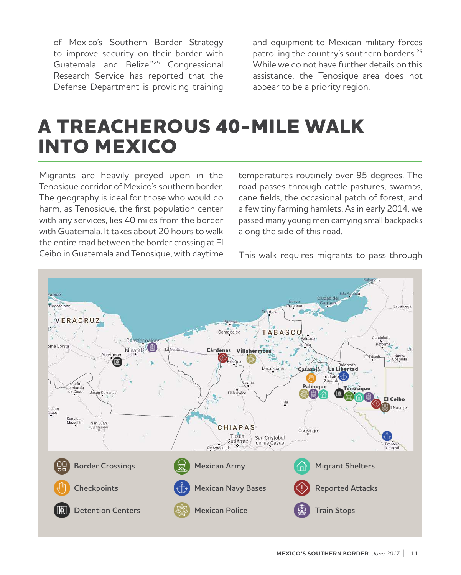of Mexico's Southern Border Strategy to improve security on their border with Guatemala and Belize."25 Congressional Research Service has reported that the Defense Department is providing training

and equipment to Mexican military forces patrolling the country's southern borders.<sup>26</sup> While we do not have further details on this assistance, the Tenosique-area does not appear to be a priority region.

## **A TREACHEROUS 40-MILE WALK INTO MEXICO**

Migrants are heavily preyed upon in the Tenosique corridor of Mexico's southern border. The geography is ideal for those who would do harm, as Tenosique, the first population center with any services, lies 40 miles from the border with Guatemala. It takes about 20 hours to walk the entire road between the border crossing at El Ceibo in Guatemala and Tenosique, with daytime temperatures routinely over 95 degrees. The road passes through cattle pastures, swamps, cane fields, the occasional patch of forest, and a few tiny farming hamlets. As in early 2014, we passed many young men carrying small backpacks along the side of this road.

This walk requires migrants to pass through

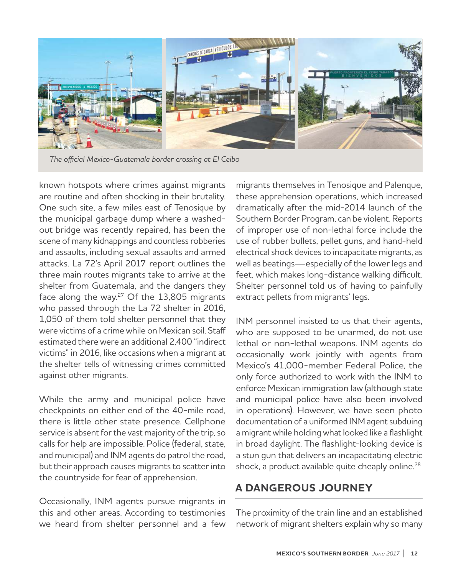

*The official Mexico-Guatemala border crossing at El Ceibo*

known hotspots where crimes against migrants are routine and often shocking in their brutality. One such site, a few miles east of Tenosique by the municipal garbage dump where a washedout bridge was recently repaired, has been the scene of many kidnappings and countless robberies and assaults, including sexual assaults and armed attacks. La 72's April 2017 report outlines the three main routes migrants take to arrive at the shelter from Guatemala, and the dangers they face along the way.<sup>27</sup> Of the 13,805 migrants who passed through the La 72 shelter in 2016, 1,050 of them told shelter personnel that they were victims of a crime while on Mexican soil. Staff estimated there were an additional 2,400 "indirect victims" in 2016, like occasions when a migrant at the shelter tells of witnessing crimes committed against other migrants.

While the army and municipal police have checkpoints on either end of the 40-mile road, there is little other state presence. Cellphone service is absent for the vast majority of the trip, so calls for help are impossible. Police (federal, state, and municipal) and INM agents do patrol the road, but their approach causes migrants to scatter into the countryside for fear of apprehension.

Occasionally, INM agents pursue migrants in this and other areas. According to testimonies we heard from shelter personnel and a few

migrants themselves in Tenosique and Palenque, these apprehension operations, which increased dramatically after the mid-2014 launch of the Southern Border Program, can be violent. Reports of improper use of non-lethal force include the use of rubber bullets, pellet guns, and hand-held electrical shock devices to incapacitate migrants, as well as beatings—especially of the lower legs and feet, which makes long-distance walking difficult. Shelter personnel told us of having to painfully extract pellets from migrants' legs.

INM personnel insisted to us that their agents, who are supposed to be unarmed, do not use lethal or non-lethal weapons. INM agents do occasionally work jointly with agents from Mexico's 41,000-member Federal Police, the only force authorized to work with the INM to enforce Mexican immigration law (although state and municipal police have also been involved in operations). However, we have seen photo documentation of a uniformed INM agent subduing a migrant while holding what looked like a flashlight in broad daylight. The flashlight-looking device is a stun gun that delivers an incapacitating electric shock, a product available quite cheaply online.<sup>28</sup>

## **A DANGEROUS JOURNEY**

The proximity of the train line and an established network of migrant shelters explain why so many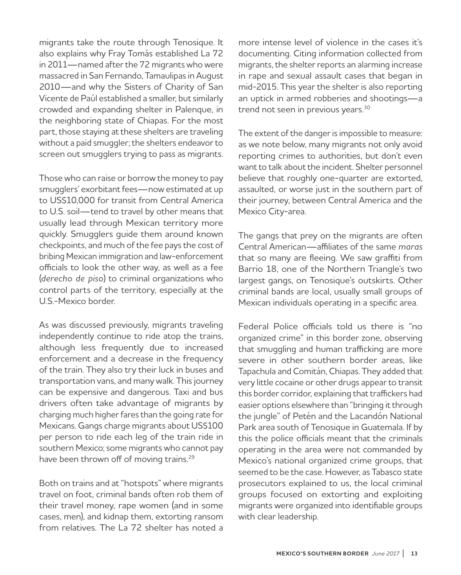migrants take the route through Tenosique. It also explains why Fray Tomás established La 72 in 2011—named after the 72 migrants who were massacred in San Fernando, Tamaulipas in August 2010—and why the Sisters of Charity of San Vicente de Paúl established a smaller, but similarly crowded and expanding shelter in Palenque, in the neighboring state of Chiapas. For the most part, those staying at these shelters are traveling without a paid smuggler; the shelters endeavor to screen out smugglers trying to pass as migrants.

Those who can raise or borrow the money to pay smugglers' exorbitant fees—now estimated at up to US\$10,000 for transit from Central America to U.S. soil—tend to travel by other means that usually lead through Mexican territory more quickly. Smugglers guide them around known checkpoints, and much of the fee pays the cost of bribing Mexican immigration and law-enforcement officials to look the other way, as well as a fee (*derecho de piso*) to criminal organizations who control parts of the territory, especially at the U.S.-Mexico border.

As was discussed previously, migrants traveling independently continue to ride atop the trains, although less frequently due to increased enforcement and a decrease in the frequency of the train. They also try their luck in buses and transportation vans, and many walk. This journey can be expensive and dangerous. Taxi and bus drivers often take advantage of migrants by charging much higher fares than the going rate for Mexicans. Gangs charge migrants about US\$100 per person to ride each leg of the train ride in southern Mexico; some migrants who cannot pay have been thrown off of moving trains.<sup>29</sup>

Both on trains and at "hotspots" where migrants travel on foot, criminal bands often rob them of their travel money, rape women (and in some cases, men), and kidnap them, extorting ransom from relatives. The La 72 shelter has noted a

more intense level of violence in the cases it's documenting. Citing information collected from migrants, the shelter reports an alarming increase in rape and sexual assault cases that began in mid-2015. This year the shelter is also reporting an uptick in armed robberies and shootings—a trend not seen in previous years.<sup>30</sup>

The extent of the danger is impossible to measure: as we note below, many migrants not only avoid reporting crimes to authorities, but don't even want to talk about the incident. Shelter personnel believe that roughly one-quarter are extorted, assaulted, or worse just in the southern part of their journey, between Central America and the Mexico City-area.

The gangs that prey on the migrants are often Central American—affiliates of the same *maras* that so many are fleeing. We saw graffiti from Barrio 18, one of the Northern Triangle's two largest gangs, on Tenosique's outskirts. Other criminal bands are local, usually small groups of Mexican individuals operating in a specific area.

Federal Police officials told us there is "no organized crime" in this border zone, observing that smuggling and human trafficking are more severe in other southern border areas, like Tapachula and Comitán, Chiapas. They added that very little cocaine or other drugs appear to transit this border corridor, explaining that traffickers had easier options elsewhere than "bringing it through the jungle" of Petén and the Lacandón National Park area south of Tenosique in Guatemala. If by this the police officials meant that the criminals operating in the area were not commanded by Mexico's national organized crime groups, that seemed to be the case. However, as Tabasco state prosecutors explained to us, the local criminal groups focused on extorting and exploiting migrants were organized into identifiable groups with clear leadership.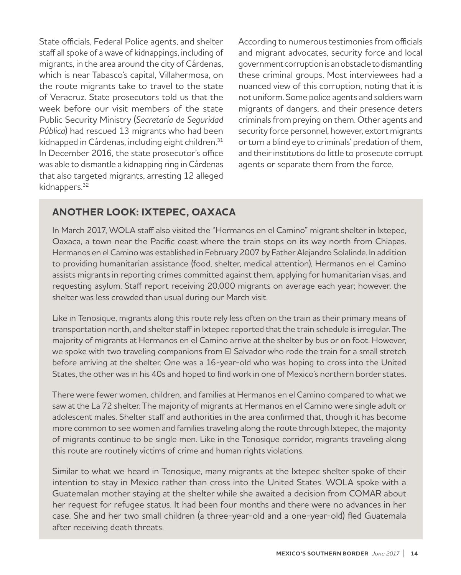State officials, Federal Police agents, and shelter staff all spoke of a wave of kidnappings, including of migrants, in the area around the city of Cárdenas, which is near Tabasco's capital, Villahermosa, on the route migrants take to travel to the state of Veracruz. State prosecutors told us that the week before our visit members of the state Public Security Ministry (*Secretaría de Seguridad Pública*) had rescued 13 migrants who had been kidnapped in Cárdenas, including eight children.<sup>31</sup> In December 2016, the state prosecutor's office was able to dismantle a kidnapping ring in Cárdenas that also targeted migrants, arresting 12 alleged kidnappers.<sup>32</sup>

According to numerous testimonies from officials and migrant advocates, security force and local government corruption is an obstacle to dismantling these criminal groups. Most interviewees had a nuanced view of this corruption, noting that it is not uniform. Some police agents and soldiers warn migrants of dangers, and their presence deters criminals from preying on them. Other agents and security force personnel, however, extort migrants or turn a blind eye to criminals' predation of them, and their institutions do little to prosecute corrupt agents or separate them from the force.

### **ANOTHER LOOK: IXTEPEC, OAXACA**

In March 2017, WOLA staff also visited the "Hermanos en el Camino" migrant shelter in Ixtepec, Oaxaca, a town near the Pacific coast where the train stops on its way north from Chiapas. Hermanos en el Camino was established in February 2007 by Father Alejandro Solalinde. In addition to providing humanitarian assistance (food, shelter, medical attention), Hermanos en el Camino assists migrants in reporting crimes committed against them, applying for humanitarian visas, and requesting asylum. Staff report receiving 20,000 migrants on average each year; however, the shelter was less crowded than usual during our March visit.

Like in Tenosique, migrants along this route rely less often on the train as their primary means of transportation north, and shelter staff in Ixtepec reported that the train schedule is irregular. The majority of migrants at Hermanos en el Camino arrive at the shelter by bus or on foot. However, we spoke with two traveling companions from El Salvador who rode the train for a small stretch before arriving at the shelter. One was a 16-year-old who was hoping to cross into the United States, the other was in his 40s and hoped to find work in one of Mexico's northern border states.

There were fewer women, children, and families at Hermanos en el Camino compared to what we saw at the La 72 shelter. The majority of migrants at Hermanos en el Camino were single adult or adolescent males. Shelter staff and authorities in the area confirmed that, though it has become more common to see women and families traveling along the route through Ixtepec, the majority of migrants continue to be single men. Like in the Tenosique corridor, migrants traveling along this route are routinely victims of crime and human rights violations.

Similar to what we heard in Tenosique, many migrants at the Ixtepec shelter spoke of their intention to stay in Mexico rather than cross into the United States. WOLA spoke with a Guatemalan mother staying at the shelter while she awaited a decision from COMAR about her request for refugee status. It had been four months and there were no advances in her case. She and her two small children (a three-year-old and a one-year-old) fled Guatemala after receiving death threats.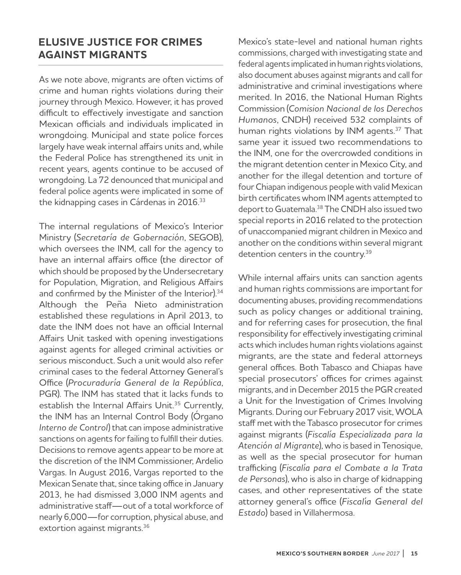### **ELUSIVE JUSTICE FOR CRIMES AGAINST MIGRANTS**

As we note above, migrants are often victims of crime and human rights violations during their journey through Mexico. However, it has proved difficult to effectively investigate and sanction Mexican officials and individuals implicated in wrongdoing. Municipal and state police forces largely have weak internal affairs units and, while the Federal Police has strengthened its unit in recent years, agents continue to be accused of wrongdoing. La 72 denounced that municipal and federal police agents were implicated in some of the kidnapping cases in Cárdenas in 2016.<sup>33</sup>

The internal regulations of Mexico's Interior Ministry (*Secretaría de Gobernación*, SEGOB), which oversees the INM, call for the agency to have an internal affairs office (the director of which should be proposed by the Undersecretary for Population, Migration, and Religious Affairs and confirmed by the Minister of the Interior).<sup>34</sup> Although the Peña Nieto administration established these regulations in April 2013, to date the INM does not have an official Internal Affairs Unit tasked with opening investigations against agents for alleged criminal activities or serious misconduct. Such a unit would also refer criminal cases to the federal Attorney General's Office (*Procuraduría General de la República*, PGR). The INM has stated that it lacks funds to establish the Internal Affairs Unit.<sup>35</sup> Currently, the INM has an Internal Control Body (Órgano *Interno de Control*) that can impose administrative sanctions on agents for failing to fulfill their duties. Decisions to remove agents appear to be more at the discretion of the INM Commissioner, Ardelio Vargas. In August 2016, Vargas reported to the Mexican Senate that, since taking office in January 2013, he had dismissed 3,000 INM agents and administrative staff—out of a total workforce of nearly 6,000—for corruption, physical abuse, and extortion against migrants.<sup>36</sup>

Mexico's state-level and national human rights commissions, charged with investigating state and federal agents implicated in human rights violations, also document abuses against migrants and call for administrative and criminal investigations where merited. In 2016, the National Human Rights Commission (*Comision Nacional de los Derechos Humanos*, CNDH) received 532 complaints of human rights violations by INM agents.37 That same year it issued two recommendations to the INM, one for the overcrowded conditions in the migrant detention center in Mexico City, and another for the illegal detention and torture of four Chiapan indigenous people with valid Mexican birth certificates whom INM agents attempted to deport to Guatemala.<sup>38</sup> The CNDH also issued two special reports in 2016 related to the protection of unaccompanied migrant children in Mexico and another on the conditions within several migrant detention centers in the country.<sup>39</sup>

While internal affairs units can sanction agents and human rights commissions are important for documenting abuses, providing recommendations such as policy changes or additional training, and for referring cases for prosecution, the final responsibility for effectively investigating criminal acts which includes human rights violations against migrants, are the state and federal attorneys general offices. Both Tabasco and Chiapas have special prosecutors' offices for crimes against migrants, and in December 2015 the PGR created a Unit for the Investigation of Crimes Involving Migrants. During our February 2017 visit, WOLA staff met with the Tabasco prosecutor for crimes against migrants (*Fiscalía Especializada para la Atención al Migrante*), who is based in Tenosique, as well as the special prosecutor for human trafficking (*Fiscalía para el Combate a la Trata de Personas*), who is also in charge of kidnapping cases, and other representatives of the state attorney general's office (*Fiscal*í*a General del Estado*) based in Villahermosa.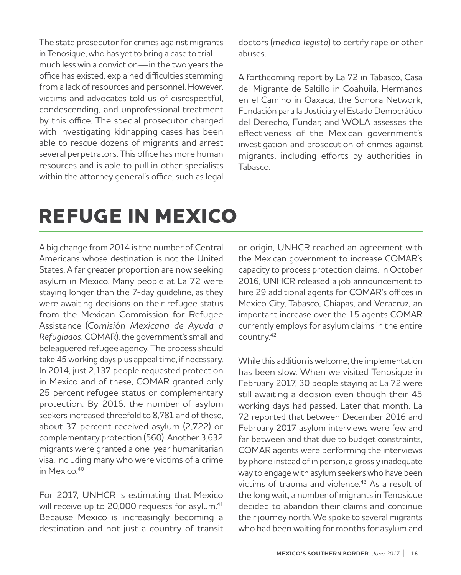The state prosecutor for crimes against migrants in Tenosique, who has yet to bring a case to trial much less win a conviction—in the two years the office has existed, explained difficulties stemming from a lack of resources and personnel. However, victims and advocates told us of disrespectful, condescending, and unprofessional treatment by this office. The special prosecutor charged with investigating kidnapping cases has been able to rescue dozens of migrants and arrest several perpetrators. This office has more human resources and is able to pull in other specialists within the attorney general's office, such as legal doctors (*medico legista*) to certify rape or other abuses.

A forthcoming report by La 72 in Tabasco, Casa del Migrante de Saltillo in Coahuila, Hermanos en el Camino in Oaxaca, the Sonora Network, Fundación para la Justicia y el Estado Democrático del Derecho, Fundar, and WOLA assesses the effectiveness of the Mexican government's investigation and prosecution of crimes against migrants, including efforts by authorities in Tabasco.

# **REFUGE IN MEXICO**

A big change from 2014 is the number of Central Americans whose destination is not the United States. A far greater proportion are now seeking asylum in Mexico. Many people at La 72 were staying longer than the 7-day guideline, as they were awaiting decisions on their refugee status from the Mexican Commission for Refugee Assistance (*Comisión Mexicana de Ayuda a Refugiados*, COMAR), the government's small and beleaguered refugee agency. The process should take 45 working days plus appeal time, if necessary. In 2014, just 2,137 people requested protection in Mexico and of these, COMAR granted only 25 percent refugee status or complementary protection. By 2016, the number of asylum seekers increased threefold to 8,781 and of these, about 37 percent received asylum (2,722) or complementary protection (560). Another 3,632 migrants were granted a one-year humanitarian visa, including many who were victims of a crime in Mexico.<sup>40</sup>

For 2017, UNHCR is estimating that Mexico will receive up to 20,000 requests for asylum.<sup>41</sup> Because Mexico is increasingly becoming a destination and not just a country of transit

or origin, UNHCR reached an agreement with the Mexican government to increase COMAR's capacity to process protection claims. In October 2016, UNHCR released a job announcement to hire 29 additional agents for COMAR's offices in Mexico City, Tabasco, Chiapas, and Veracruz, an important increase over the 15 agents COMAR currently employs for asylum claims in the entire country.<sup>42</sup>

While this addition is welcome, the implementation has been slow. When we visited Tenosique in February 2017, 30 people staying at La 72 were still awaiting a decision even though their 45 working days had passed. Later that month, La 72 reported that between December 2016 and February 2017 asylum interviews were few and far between and that due to budget constraints, COMAR agents were performing the interviews by phone instead of in person, a grossly inadequate way to engage with asylum seekers who have been victims of trauma and violence.<sup>43</sup> As a result of the long wait, a number of migrants in Tenosique decided to abandon their claims and continue their journey north. We spoke to several migrants who had been waiting for months for asylum and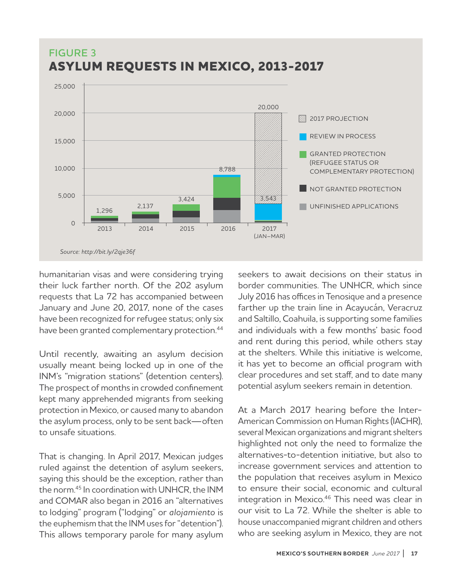

# **FIGURE 3**

humanitarian visas and were considering trying their luck farther north. Of the 202 asylum requests that La 72 has accompanied between January and June 20, 2017, none of the cases have been recognized for refugee status; only six have been granted complementary protection.<sup>44</sup>

Until recently, awaiting an asylum decision usually meant being locked up in one of the INM's "migration stations" (detention centers). The prospect of months in crowded confinement kept many apprehended migrants from seeking protection in Mexico, or caused many to abandon the asylum process, only to be sent back—often to unsafe situations.

That is changing. In April 2017, Mexican judges ruled against the detention of asylum seekers, saying this should be the exception, rather than the norm.<sup>45</sup> In coordination with UNHCR, the INM and COMAR also began in 2016 an "alternatives to lodging" program ("lodging" or *alojamiento* is the euphemism that the INM uses for "detention"). This allows temporary parole for many asylum

seekers to await decisions on their status in border communities. The UNHCR, which since July 2016 has offices in Tenosique and a presence farther up the train line in Acayucán, Veracruz and Saltillo, Coahuila, is supporting some families and individuals with a few months' basic food and rent during this period, while others stay at the shelters. While this initiative is welcome, it has yet to become an official program with clear procedures and set staff, and to date many potential asylum seekers remain in detention.

At a March 2017 hearing before the Inter-American Commission on Human Rights (IACHR), several Mexican organizations and migrant shelters highlighted not only the need to formalize the alternatives-to-detention initiative, but also to increase government services and attention to the population that receives asylum in Mexico to ensure their social, economic and cultural integration in Mexico.<sup>46</sup> This need was clear in our visit to La 72. While the shelter is able to house unaccompanied migrant children and others who are seeking asylum in Mexico, they are not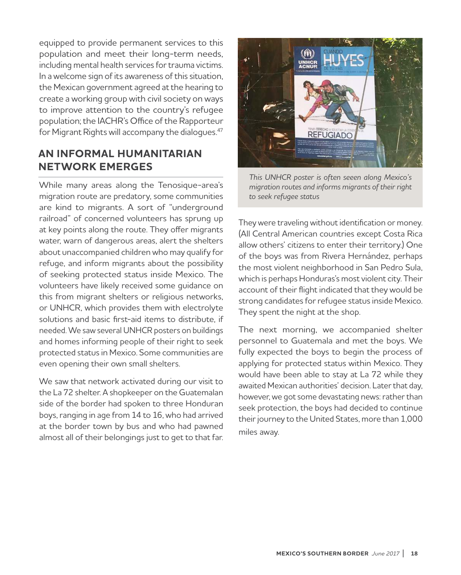equipped to provide permanent services to this population and meet their long-term needs, including mental health services for trauma victims. In a welcome sign of its awareness of this situation, the Mexican government agreed at the hearing to create a working group with civil society on ways to improve attention to the country's refugee population; the IACHR's Office of the Rapporteur for Migrant Rights will accompany the dialogues.<sup>47</sup>

### **AN INFORMAL HUMANITARIAN NETWORK EMERGES**

While many areas along the Tenosique-area's migration route are predatory, some communities are kind to migrants. A sort of "underground railroad" of concerned volunteers has sprung up at key points along the route. They offer migrants water, warn of dangerous areas, alert the shelters about unaccompanied children who may qualify for refuge, and inform migrants about the possibility of seeking protected status inside Mexico. The volunteers have likely received some guidance on this from migrant shelters or religious networks, or UNHCR, which provides them with electrolyte solutions and basic first-aid items to distribute, if needed. We saw several UNHCR posters on buildings and homes informing people of their right to seek protected status in Mexico. Some communities are even opening their own small shelters.

We saw that network activated during our visit to the La 72 shelter. A shopkeeper on the Guatemalan side of the border had spoken to three Honduran boys, ranging in age from 14 to 16, who had arrived at the border town by bus and who had pawned almost all of their belongings just to get to that far.



*This UNHCR poster is often seeen along Mexico's migration routes and informs migrants of their right to seek refugee status*

They were traveling without identification or money. (All Central American countries except Costa Rica allow others' citizens to enter their territory.) One of the boys was from Rivera Hernández, perhaps the most violent neighborhood in San Pedro Sula, which is perhaps Honduras's most violent city. Their account of their flight indicated that they would be strong candidates for refugee status inside Mexico. They spent the night at the shop.

The next morning, we accompanied shelter personnel to Guatemala and met the boys. We fully expected the boys to begin the process of applying for protected status within Mexico. They would have been able to stay at La 72 while they awaited Mexican authorities' decision. Later that day, however, we got some devastating news: rather than seek protection, the boys had decided to continue their journey to the United States, more than 1,000 miles away.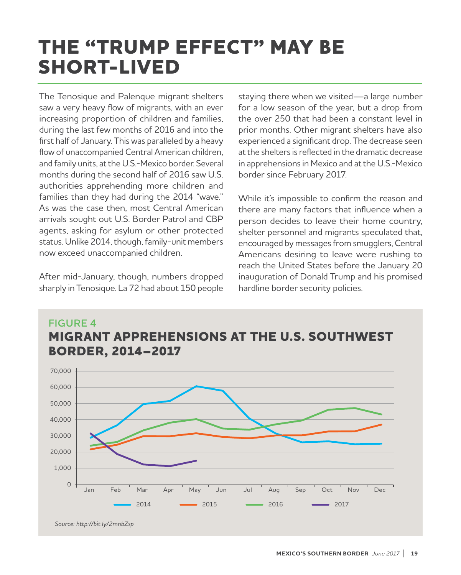## **THE "TRUMP EFFECT" MAY BE SHORT-LIVED**

The Tenosique and Palenque migrant shelters saw a very heavy flow of migrants, with an ever increasing proportion of children and families, during the last few months of 2016 and into the first half of January. This was paralleled by a heavy flow of unaccompanied Central American children, and family units, at the U.S.-Mexico border. Several months during the second half of 2016 saw U.S. authorities apprehending more children and families than they had during the 2014 "wave." As was the case then, most Central American arrivals sought out U.S. Border Patrol and CBP agents, asking for asylum or other protected status. Unlike 2014, though, family-unit members now exceed unaccompanied children.

After mid-January, though, numbers dropped sharply in Tenosique. La 72 had about 150 people staying there when we visited—a large number for a low season of the year, but a drop from the over 250 that had been a constant level in prior months. Other migrant shelters have also experienced a significant drop. The decrease seen at the shelters is reflected in the dramatic decrease in apprehensions in Mexico and at the U.S.-Mexico border since February 2017.

While it's impossible to confirm the reason and there are many factors that influence when a person decides to leave their home country, shelter personnel and migrants speculated that, encouraged by messages from smugglers, Central Americans desiring to leave were rushing to reach the United States before the January 20 inauguration of Donald Trump and his promised hardline border security policies.



*Source: http://bit.ly/2mnbZsp*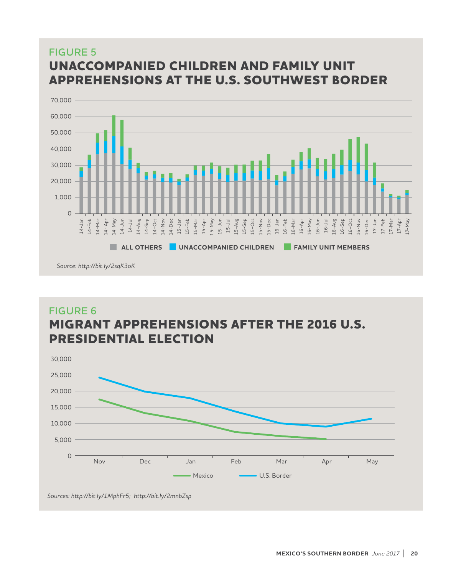## **FIGURE 5 UNACCOMPANIED CHILDREN AND FAMILY UNIT APPREHENSIONS AT THE U.S. SOUTHWEST BORDER**



## **FIGURE 6 MIGRANT APPREHENSIONS AFTER THE 2016 U.S. PRESIDENTIAL ELECTION**



*Sources: http://bit.ly/1MphFr5; http://bit.ly/2mnbZsp*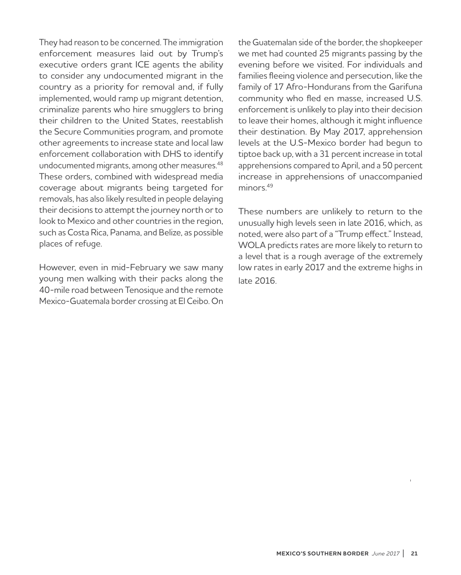They had reason to be concerned. The immigration enforcement measures laid out by Trump's executive orders grant ICE agents the ability to consider any undocumented migrant in the country as a priority for removal and, if fully implemented, would ramp up migrant detention, criminalize parents who hire smugglers to bring their children to the United States, reestablish the Secure Communities program, and promote other agreements to increase state and local law enforcement collaboration with DHS to identify undocumented migrants, among other measures.<sup>48</sup> These orders, combined with widespread media coverage about migrants being targeted for removals, has also likely resulted in people delaying their decisions to attempt the journey north or to look to Mexico and other countries in the region, such as Costa Rica, Panama, and Belize, as possible places of refuge.

However, even in mid-February we saw many young men walking with their packs along the 40-mile road between Tenosique and the remote Mexico-Guatemala border crossing at El Ceibo. On

the Guatemalan side of the border, the shopkeeper we met had counted 25 migrants passing by the evening before we visited. For individuals and families fleeing violence and persecution, like the family of 17 Afro-Hondurans from the Garifuna community who fled en masse, increased U.S. enforcement is unlikely to play into their decision to leave their homes, although it might influence their destination. By May 2017, apprehension levels at the U.S-Mexico border had begun to tiptoe back up, with a 31 percent increase in total apprehensions compared to April, and a 50 percent increase in apprehensions of unaccompanied minors<sup>49</sup>

These numbers are unlikely to return to the unusually high levels seen in late 2016, which, as noted, were also part of a "Trump effect." Instead, WOLA predicts rates are more likely to return to a level that is a rough average of the extremely low rates in early 2017 and the extreme highs in late 2016.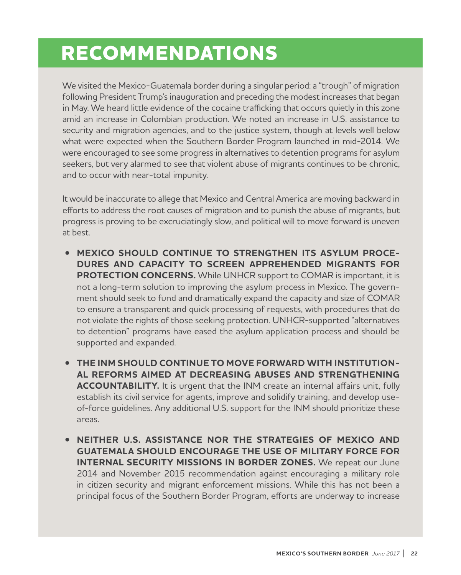## **RECOMMENDATIONS**

We visited the Mexico-Guatemala border during a singular period: a "trough" of migration following President Trump's inauguration and preceding the modest increases that began in May. We heard little evidence of the cocaine trafficking that occurs quietly in this zone amid an increase in Colombian production. We noted an increase in U.S. assistance to security and migration agencies, and to the justice system, though at levels well below what were expected when the Southern Border Program launched in mid-2014. We were encouraged to see some progress in alternatives to detention programs for asylum seekers, but very alarmed to see that violent abuse of migrants continues to be chronic, and to occur with near-total impunity.

It would be inaccurate to allege that Mexico and Central America are moving backward in efforts to address the root causes of migration and to punish the abuse of migrants, but progress is proving to be excruciatingly slow, and political will to move forward is uneven at best.

- **MEXICO SHOULD CONTINUE TO STRENGTHEN ITS ASYLUM PROCE-DURES AND CAPACITY TO SCREEN APPREHENDED MIGRANTS FOR PROTECTION CONCERNS.** While UNHCR support to COMAR is important, it is not a long-term solution to improving the asylum process in Mexico. The government should seek to fund and dramatically expand the capacity and size of COMAR to ensure a transparent and quick processing of requests, with procedures that do not violate the rights of those seeking protection. UNHCR-supported "alternatives to detention" programs have eased the asylum application process and should be supported and expanded.
- **THE INM SHOULD CONTINUE TO MOVE FORWARD WITH INSTITUTION-AL REFORMS AIMED AT DECREASING ABUSES AND STRENGTHENING ACCOUNTABILITY.** It is urgent that the INM create an internal affairs unit, fully establish its civil service for agents, improve and solidify training, and develop useof-force guidelines. Any additional U.S. support for the INM should prioritize these areas.
- **NEITHER U.S. ASSISTANCE NOR THE STRATEGIES OF MEXICO AND GUATEMALA SHOULD ENCOURAGE THE USE OF MILITARY FORCE FOR INTERNAL SECURITY MISSIONS IN BORDER ZONES.** We repeat our June 2014 and November 2015 recommendation against encouraging a military role in citizen security and migrant enforcement missions. While this has not been a principal focus of the Southern Border Program, efforts are underway to increase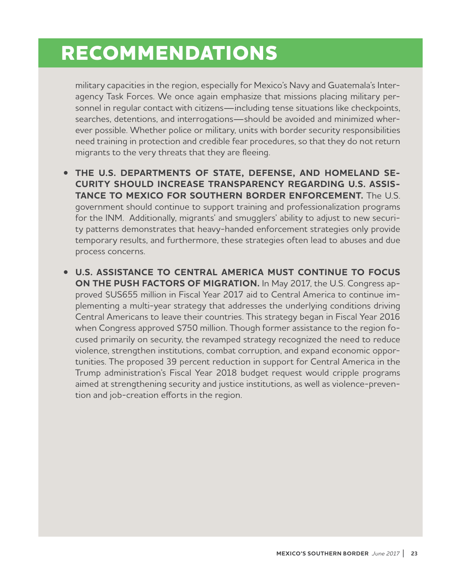## **RECOMMENDATIONS**

military capacities in the region, especially for Mexico's Navy and Guatemala's Interagency Task Forces. We once again emphasize that missions placing military personnel in regular contact with citizens—including tense situations like checkpoints, searches, detentions, and interrogations—should be avoided and minimized wherever possible. Whether police or military, units with border security responsibilities need training in protection and credible fear procedures, so that they do not return migrants to the very threats that they are fleeing.

- **THE U.S. DEPARTMENTS OF STATE, DEFENSE, AND HOMELAND SE-CURITY SHOULD INCREASE TRANSPARENCY REGARDING U.S. ASSIS-TANCE TO MEXICO FOR SOUTHERN BORDER ENFORCEMENT.** The U.S. government should continue to support training and professionalization programs for the INM. Additionally, migrants' and smugglers' ability to adjust to new security patterns demonstrates that heavy-handed enforcement strategies only provide temporary results, and furthermore, these strategies often lead to abuses and due process concerns.
- **U.S. ASSISTANCE TO CENTRAL AMERICA MUST CONTINUE TO FOCUS ON THE PUSH FACTORS OF MIGRATION.** In May 2017, the U.S. Congress approved \$US655 million in Fiscal Year 2017 aid to Central America to continue implementing a multi-year strategy that addresses the underlying conditions driving Central Americans to leave their countries. This strategy began in Fiscal Year 2016 when Congress approved \$750 million. Though former assistance to the region focused primarily on security, the revamped strategy recognized the need to reduce violence, strengthen institutions, combat corruption, and expand economic opportunities. The proposed 39 percent reduction in support for Central America in the Trump administration's Fiscal Year 2018 budget request would cripple programs aimed at strengthening security and justice institutions, as well as violence-prevention and job-creation efforts in the region.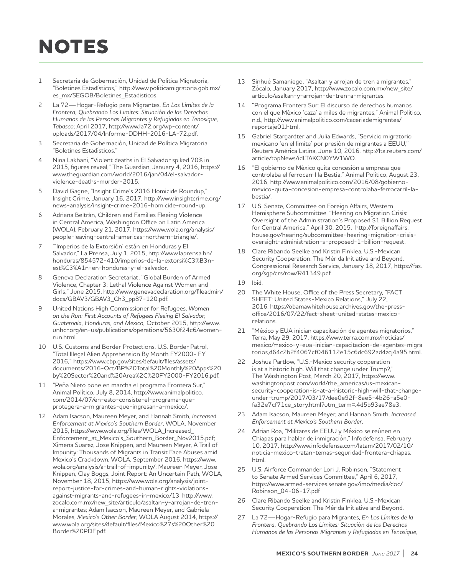# **NOTES**

- 1 Secretaria de Gobernación, Unidad de Política Migratoria, "Boletines Estadísticos," http://www.politicamigratoria.gob.mx/ es\_mx/SEGOB/Boletines\_Estadisticos.
- 2 La 72—Hogar-Refugio para Migrantes, *En Los Límites de la Frontera, Quebrando Los Limites: Situación de los Derechos Humanos de las Personas Migrantes y Refugiadas en Tenosique, Tabasco*; April 2017, http://www.la72.org/wp-content/ uploads/2017/04/Informe-DDHH-2016-LA-72.pdf.
- 3 Secretaria de Gobernación, Unidad de Política Migratoria, "Boletines Estadísticos."
- 4 Nina Lakhani, "Violent deaths in El Salvador spiked 70% in 2015, figures reveal," The Guardian, January 4, 2016, https:// www.theguardian.com/world/2016/jan/04/el-salvadorviolence-deaths-murder-2015.
- 5 David Gagne, "Insight Crime's 2016 Homicide Roundup," Insight Crime, January 16, 2017, http://www.insightcrime.org/ news-analysis/insight-crime-2016-homicide-round-up.
- 6 Adriana Beltrán, Children and Families Fleeing Violence in Central America, Washington Office on Latin America (WOLA), February 21, 2017, https://www.wola.org/analysis/ people-leaving-central-americas-northern-triangle/.
- 7 "'Imperios de la Extorsión' están en Honduras y El Salvador," La Prensa, July 1, 2015, http://www.laprensa.hn/ honduras/854572-410/imperios-de-la-extorsi%C3%B3nest%C3%A1n-en-honduras-y-el-salvador.
- 8 Geneva Declaration Secretariat, "Global Burden of Armed Violence, Chapter 3: Lethal Violence Against Women and Girls," June 2015, http://www.genevadeclaration.org/fileadmin/ docs/GBAV3/GBAV3\_Ch3\_pp87-120.pdf.
- 9 United Nations High Commissioner for Refugees, *Women on the Run: First Accounts of Refugees Fleeing El Salvador, Guatemala, Honduras, and Mexico,* October 2015, http://www. unhcr.org/en-us/publications/operations/5630f24c6/womenrun.html.
- 10 U.S. Customs and Border Protections, U.S. Border Patrol, "Total Illegal Alien Apprehension By Month FY2000- FY 2016," https://www.cbp.gov/sites/default/files/assets/ documents/2016-Oct/BP%20Total%20Monthly%20Apps%20 by%20Sector%20and%20Area%2C%20FY2000-FY2016.pdf.
- 11 "Peña Nieto pone en marcha el programa Frontera Sur," Animal Político, July 8, 2014, http://www.animalpolitico. com/2014/07/en-esto-consiste-el-programa-queprotegera-a-migrantes-que-ingresan-a-mexico/.
- 12 Adam Isacson, Maureen Meyer, and Hannah Smith, *Increased Enforcement at Mexico's Southern Border*, WOLA, November 2015, https://www.wola.org/files/WOLA\_Increased\_ Enforcement\_at\_Mexico's\_Southern\_Border\_Nov2015.pdf; Ximena Suarez, Jose Knippen, and Maureen Meyer, A Trail of Impunity: Thousands of Migrants in Transit Face Abuses amid Mexico's Crackdown, WOLA, September 2016, https://www. wola.org/analysis/a-trail-of-impunity/; Maureen Meyer, Jose Knippen, Clay Boggs, Joint Report: An Uncertain Path, WOLA, November 18, 2015, https://www.wola.org/analysis/jointreport-justice-for-crimes-and-human-rights-violationsagainst-migrants-and-refugees-in-mexico/13 http://www. zocalo.com.mx/new\_site/articulo/asaltan-y-arrojan-de-trena-migrantes; Adam Isacson, Maureen Meyer, and Gabriela Morales, *Mexico's Other Border*, WOLA August 2014, https:// www.wola.org/sites/default/files/Mexico%27s%20Other%20 Border%20PDF.pdf.
- 13 Sinhué Samaniego, "Asaltan y arrojan de tren a migrantes," Zócalo, January 2017, http://www.zocalo.com.mx/new\_site/ articulo/asaltan-y-arrojan-de-tren-a-migrantes.
- 14 "Programa Frontera Sur: El discurso de derechos humanos con el que México 'caza' a miles de migrantes," Animal Político, n.d., http://www.animalpolitico.com/caceriademigrantes/ reportaje01.html.
- 15 Gabriel Stargardter and Julia Edwards, "Servicio migratorio mexicano 'en el límite' por presión de migrantes a EEUU," Reuters América Latina, June 10, 2016, http://lta.reuters.com/ article/topNews/idLTAKCN0YW1WO.
- 16 "El gobierno de México quita concesión a empresa que controlaba el ferrocarril la Bestia," Animal Político, August 23, 2016, http://www.animalpolitico.com/2016/08/gobiernomexico-quita-concesion-empresa-controlaba-ferrocarril-labestia/.
- 17 U.S. Senate, Committee on Foreign Affairs, Western Hemisphere Subcommittee, "Hearing on Migration Crisis: Oversight of the Administration's Proposed \$1 Billion Request for Central America," April 30, 2015, http://foreignaffairs. house.gov/hearing/subcommittee-hearing-migration-crisisoversight-administration-s-proposed-1-billion-request.
- 18 Clare Ribando Seelke and Kristin Finklea, U.S.-Mexican Security Cooperation: The Mérida Initiative and Beyond, Congressional Research Service, January 18, 2017, https://fas. org/sgp/crs/row/R41349.pdf.
- 19 Ibid.
- 20 The White House, Office of the Press Secretary, "FACT SHEET: United States-Mexico Relations," July 22, 2016. https://obamawhitehouse.archives.gov/the-pressoffice/2016/07/22/fact-sheet-united-states-mexicorelations.
- 21 "México y EUA inician capacitación de agentes migratorios," Terra, May 29, 2017, https://www.terra.com.mx/noticias/ mexico/mexico-y-eua-inician-capacitacion-de-agentes-migra torios,d64c2b2f4067cf046112e15c6dc692ad4zcj4a95.html.
- Joshua Partlow, "U.S.-Mexico security cooperation is at a historic high. Will that change under Trump?," The Washington Post, March 20, 2017, https://www. washingtonpost.com/world/the\_americas/us-mexicansecurity-cooperation-is-at-a-historic-high-will-that-changeunder-trump/2017/03/17/dee0e92f-8ae5-4b26-a5e0 fa32e7cf71ce\_story.html?utm\_term=.4d5b93ae78e3.
- 23 Adam Isacson, Maureen Meyer, and Hannah Smith, *Increased Enforcement at Mexico's Southern Border*.
- 24 Adrian Roa, "Militares de EEUU y México se reúnen en Chiapas para hablar de inmigración," Infodefensa, February 10, 2017, http://www.infodefensa.com/latam/2017/02/10/ noticia-mexico-tratan-temas-seguridad-frontera-chiapas. html.
- 25 U.S. Airforce Commander Lori J. Robinson, "Statement to Senate Armed Services Committee," April 6, 2017, https://www.armed-services.senate.gov/imo/media/doc/ Robinson\_04-06-17.pdf
- 26 Clare Ribando Seelke and Kristin Finklea, U.S.-Mexican Security Cooperation: The Mérida Initiative and Beyond.
- 27 La 72—Hogar-Refugio para Migrantes, *En Los Límites de la Frontera, Quebrando Los Limites: Situación de los Derechos Humanos de las Personas Migrantes y Refugiadas en Tenosique,*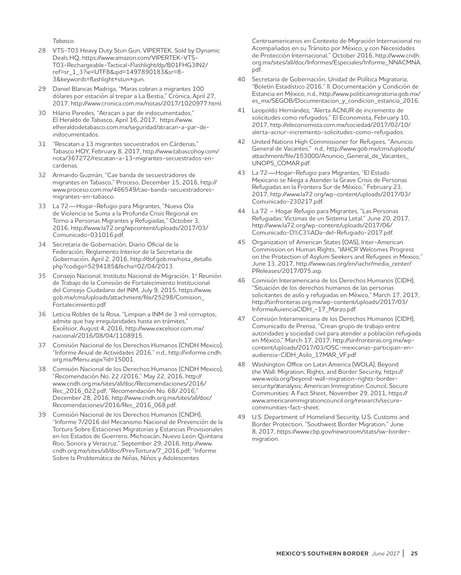*Tabasco.*

- 28 VTS-T03 Heavy Duty Stun Gun, VIPERTEK, Sold by Dynamic Deals HQ, https://www.amazon.com/VIPERTEK-VTS-T03-Rechargeable-Tactical-Flashlight/dp/B01FHG3IN2/ ref=sr\_1\_3?ie=UTF8&qid=1497890183&sr=8- 3&keywords=flashlight+stun+gun.
- 29 Daniel Blancas Madriga, "Maras cobran a migrantes 100 dólares por estación al trepar a La Bestia," Crónica, April 27, 2017, http://www.cronica.com.mx/notas/2017/1020977.html.
- 30 Hilario Paredes, "Atracan a par de indocumentados," El Heraldo de Tabasco, April 16, 2017, https://www. elheraldodetabasco.com.mx/seguridad/atracan-a-par-deindocumentados.
- 31 "Rescatan a 13 migrantes secuestrados en Cárdenas," Tabasco HOY, February 8, 2017, http://www.tabascohoy.com/ nota/367272/rescatan-a-13-migrantes-secuestrados-encardenas.
- 32 Armando Guzmán, "Cae banda de secuestradores de migrantes en Tabasco," Proceso, December 15, 2016, http:// www.proceso.com.mx/466549/cae-banda-secuestradoresmigrantes-en-tabasco.
- 33 La 72—Hogar-Refugio para Migrantes, "Nueva Ola de Violencia se Suma a la Profunda Crisis Regional en Torno a Personas Migrantes y Refugiadas," October 3, 2016, http://www.la72.org/wpcontent/uploads/2017/03/ Comunicado-031016.pdf.
- 34 Secretaria de Gobernación, Diario Oficial de la Federación, Reglamento Interior de la Secretaria de Gobernación, April 2, 2016, http://dof.gob.mx/nota\_detalle. php?codigo=5294185&fecha=02/04/2013.
- Consejo Nacional, Instituto Nacional de Migración, 1ª Reunión de Trabajo de la Comisión de Fortalecimiento Institucional del Consejo Ciudadano del INM, July 9, 2015, https://www. gob.mx/cms/uploads/attachment/file/25298/Comision\_ Fortalecimiento.pdf.
- 36 Leticia Robles de la Rosa, "Limpian a INM de 3 mil corruptos; admite que hay irregularidades hasta en trámites," Excélsior, August 4, 2016, http://www.excelsior.com.mx/ nacional/2016/08/04/1108915.
- 37 Comisión Nacional de los Derechos Humanos (CNDH Mexico), "Informe Anual de Actividades 2016," n.d., http://informe.cndh. org.mx/Menu.aspx?id=15001.
- 38 Comisión Nacional de los Derechos Humanos (CNDH Mexico), "Recomendación No. 22 /2016," May 22, 2016, http:// www.cndh.org.mx/sites/all/doc/Recomendaciones/2016/ Rec\_2016\_022.pdf; "Recomendación No. 68/ 2016," December 28, 2016, http://www.cndh.org.mx/sites/all/doc/ Recomendaciones/2016/Rec\_2016\_068.pdf.
- 39 Comisión Nacional de los Derechos Humanos (CNDH), "Informe 7/2016 del Mecanismo Nacional de Prevención de la Tortura Sobre Estaciones Migratorias y Estancias Provisionales en los Estados de Guerrero, Michoacán, Nuevo León Quintana Roo, Sonora y Veracruz," September 29, 2016, http://www. cndh.org.mx/sites/all/doc/PrevTortura/7\_2016.pdf; "Informe Sobre la Problemática de Niñas, Niños y Adolescentes

Centroamericanos en Contexto de Migración Internacional no Acompañados en su Tránsito por México, y con Necesidades de Protección Internacional," October 2016, http://www.cndh. org.mx/sites/all/doc/Informes/Especiales/Informe\_NNACMNA. pdf.

- 40 Secretaria de Gobernación, Unidad de Política Migratoria, "Boletín Estadístico 2016," II. Documentación y Condición de Estancia en México, n.d., http://www.politicamigratoria.gob.mx/ es\_mx/SEGOB/Documentacion\_y\_condicion\_estancia\_2016.
- 41 Leopoldo Hernández, "Alerta ACNUR de incremento de solicitudes como refugiados," El Economista, February 10, 2017, http://eleconomista.com.mx/sociedad/2017/02/10/ alerta-acnur-incremento-solicitudes-como-refugiados.
- 42 United Nations High Commissioner for Refugees, "Anuncio General de Vacantes," n.d., http://www.gob.mx/cms/uploads/ attachment/file/153000/Anuncio\_General\_de\_Vacantes\_ UNOPS\_COMAR.pdf.
- 43 La 72—Hogar-Refugio para Migrantes, "El Estado Mexicano se Niega a Atender la Grave Crisis de Personas Refugiadas en la Frontera Sur de México," February 23, 2017, http://www.la72.org/wp-content/uploads/2017/03/ Comunicado-230217.pdf.
- 44 La 72 Hogar Refugio para Migrantes, "Las Personas Refugiadas: Víctimas de un Sistema Letal," June 20, 2017, http://www.la72.org/wp-content/uploads/2017/06/ Comunicado-D%C3%ADa-del-Refugiado-2017.pdf.
- 45 Organization of American States (OAS), Inter-American Commission on Human Rights, "IAHCR Welcomes Progress on the Protection of Asylum Seekers and Refugees in Mexico," June 13, 2017, http://www.oas.org/en/iachr/media\_center/ PReleases/2017/075.asp.
- 46 Comisión Interamericana de los Derechos Humanos (CIDH), "Situación de los derechos humanos de las personas solicitantes de asilo y refugiadas en México," March 17, 2017, http://sinfronteras.org.mx/wp-content/uploads/2017/03/ InformeAuienciaCIDH\_-17\_Marzo.pdf.
- 47 Comisión Interamericana de los Derechos Humanos (CIDH), Comunicado de Prensa, "Crean grupo de trabajo entre autoridades y sociedad civil para atender a población refugiada en México," March 17, 2017; http://sinfronteras.org.mx/wpcontent/uploads/2017/03/OSC-mexicanas-participan-enaudiencia-CIDH\_Asilo\_17MAR\_VF.pdf
- 48 Washington Office on Latin America (WOLA), Beyond the Wall: Migration, Rights, and Border Security, https:// www.wola.org/beyond-wall-migration-rights-bordersecurity/#analysis; American Immigration Council, Secure Communities: A Fact Sheet, November 29, 2011, https:// www.americanimmigrationcouncil.org/research/securecommunities-fact-sheet.
- 49 U.S. Department of Homeland Security, U.S. Customs and Border Protection, "Southwest Border Migration," June 8, 2017, https://www.cbp.gov/newsroom/stats/sw-bordermigration.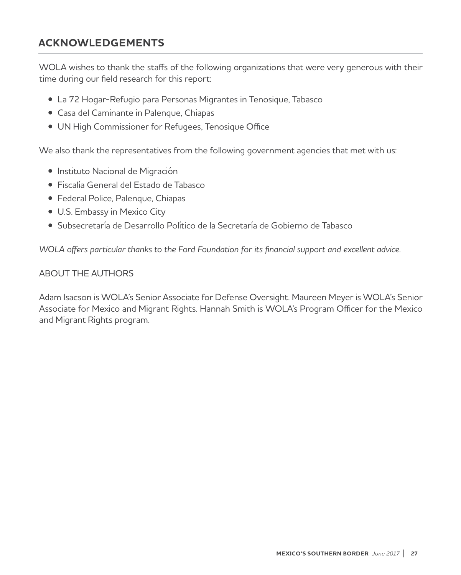### **ACKNOWLEDGEMENTS**

WOLA wishes to thank the staffs of the following organizations that were very generous with their time during our field research for this report:

- La 72 Hogar-Refugio para Personas Migrantes in Tenosique, Tabasco
- Casa del Caminante in Palenque, Chiapas
- UN High Commissioner for Refugees, Tenosique Office

We also thank the representatives from the following government agencies that met with us:

- Instituto Nacional de Migración
- Fiscalía General del Estado de Tabasco
- Federal Police, Palenque, Chiapas
- U.S. Embassy in Mexico City
- Subsecretaría de Desarrollo Político de la Secretaría de Gobierno de Tabasco

*WOLA offers particular thanks to the Ford Foundation for its financial support and excellent advice.* 

#### ABOUT THE AUTHORS

Adam Isacson is WOLA's Senior Associate for Defense Oversight. Maureen Meyer is WOLA's Senior Associate for Mexico and Migrant Rights. Hannah Smith is WOLA's Program Officer for the Mexico and Migrant Rights program.